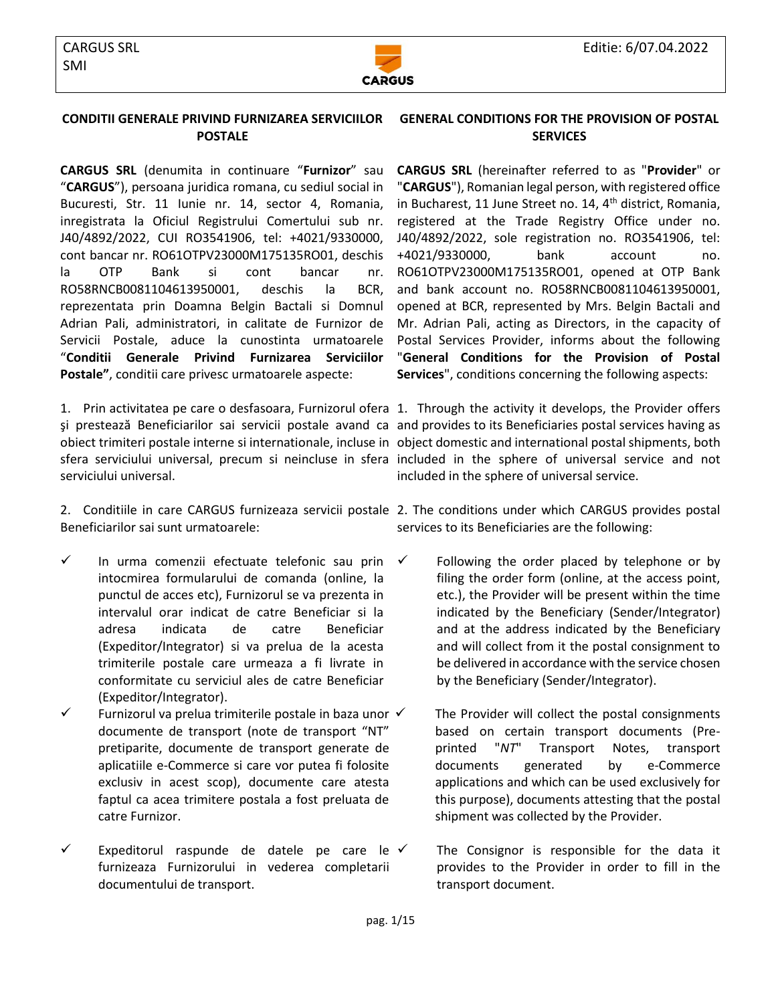

## **CONDITII GENERALE PRIVIND FURNIZAREA SERVICIILOR POSTALE**

**CARGUS SRL** (denumita in continuare "**Furnizor**" sau "**CARGUS**"), persoana juridica romana, cu sediul social in Bucuresti, Str. 11 Iunie nr. 14, sector 4, Romania, inregistrata la Oficiul Registrului Comertului sub nr. J40/4892/2022, CUI RO3541906, tel: +4021/9330000, cont bancar nr. RO61OTPV23000M175135RO01, deschis la OTP Bank si cont bancar nr. [RO58RNCB0081104613950001,](https://e-bcr.bcr.ro/smartoffice/index.lyo?0.RO#1) deschis la BCR, reprezentata prin Doamna Belgin Bactali si Domnul Adrian Pali, administratori, in calitate de Furnizor de Servicii Postale, aduce la cunostinta urmatoarele "**Conditii Generale Privind Furnizarea Serviciilor Postale"**, conditii care privesc urmatoarele aspecte:

1. Prin activitatea pe care o desfasoara, Furnizorul ofera 1. Through the activity it develops, the Provider offers şi prestează Beneficiarilor sai servicii postale avand ca and provides to its Beneficiaries postal services having as obiect trimiteri postale interne si internationale, incluse in object domestic and international postal shipments, both sfera serviciului universal, precum si neincluse in sfera included in the sphere of universal service and not serviciului universal.

Beneficiarilor sai sunt urmatoarele:

- $\checkmark$  In urma comenzii efectuate telefonic sau prin intocmirea formularului de comanda (online, la punctul de acces etc), Furnizorul se va prezenta in intervalul orar indicat de catre Beneficiar si la adresa indicata de catre Beneficiar (Expeditor/Integrator) si va prelua de la acesta trimiterile postale care urmeaza a fi livrate in conformitate cu serviciul ales de catre Beneficiar (Expeditor/Integrator).
- $\checkmark$  Furnizorul va prelua trimiterile postale in baza unor  $\checkmark$ documente de transport (note de transport "NT" pretiparite, documente de transport generate de aplicatiile e-Commerce si care vor putea fi folosite exclusiv in acest scop), documente care atesta faptul ca acea trimitere postala a fost preluata de catre Furnizor.
- Expeditorul raspunde de datele pe care le  $\checkmark$ furnizeaza Furnizorului in vederea completarii documentului de transport.

## **GENERAL CONDITIONS FOR THE PROVISION OF POSTAL SERVICES**

**CARGUS SRL** (hereinafter referred to as "**Provider**" or "**CARGUS**"), Romanian legal person, with registered office in Bucharest, 11 June Street no. 14,  $4<sup>th</sup>$  district, Romania, registered at the Trade Registry Office under no. J40/4892/2022, sole registration no. RO3541906, tel: +4021/9330000, bank account no. RO61OTPV23000M175135RO01, opened at OTP Bank and bank account no. RO58RNCB0081104613950001, opened at BCR, represented by Mrs. Belgin Bactali and Mr. Adrian Pali, acting as Directors, in the capacity of Postal Services Provider, informs about the following "**General Conditions for the Provision of Postal Services**", conditions concerning the following aspects:

included in the sphere of universal service.

2. Conditiile in care CARGUS furnizeaza servicii postale 2. The conditions under which CARGUS provides postal services to its Beneficiaries are the following:

- $\checkmark$  Following the order placed by telephone or by filing the order form (online, at the access point, etc.), the Provider will be present within the time indicated by the Beneficiary (Sender/Integrator) and at the address indicated by the Beneficiary and will collect from it the postal consignment to be delivered in accordance with the service chosen by the Beneficiary (Sender/Integrator).
	- The Provider will collect the postal consignments based on certain transport documents (Preprinted "*NT*" Transport Notes, transport documents generated by e-Commerce applications and which can be used exclusively for this purpose), documents attesting that the postal shipment was collected by the Provider.

The Consignor is responsible for the data it provides to the Provider in order to fill in the transport document.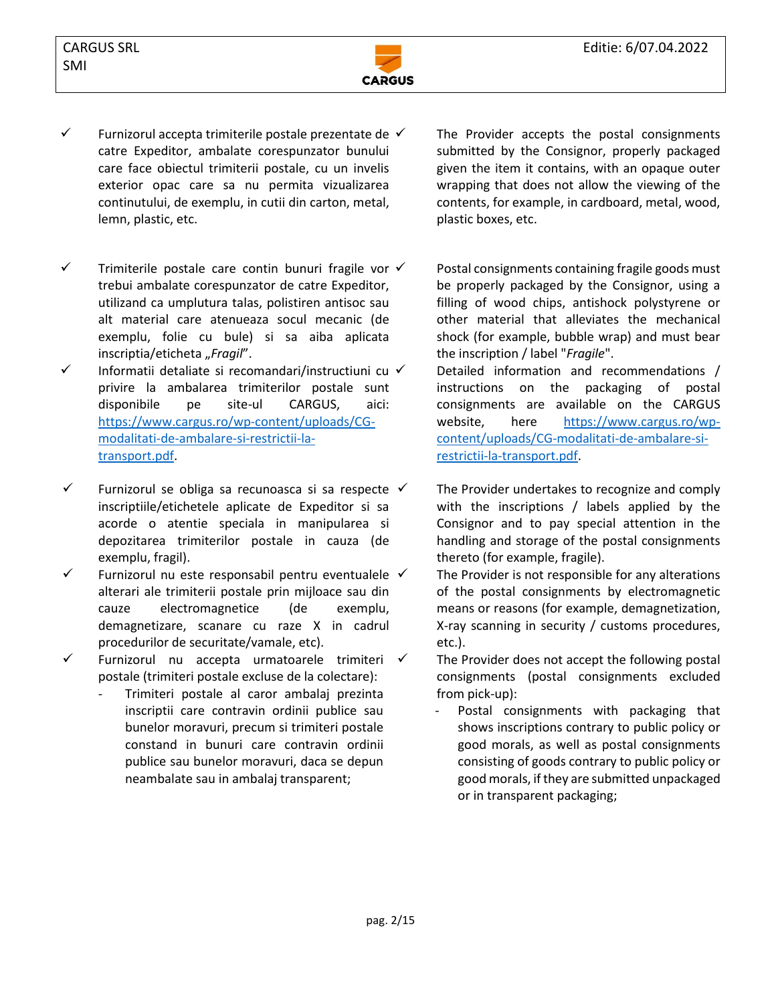

- $\checkmark$  Furnizorul accepta trimiterile postale prezentate de  $\checkmark$ catre Expeditor, ambalate corespunzator bunului care face obiectul trimiterii postale, cu un invelis exterior opac care sa nu permita vizualizarea continutului, de exemplu, in cutii din carton, metal, lemn, plastic, etc.
- $\checkmark$  Trimiterile postale care contin bunuri fragile vor  $\checkmark$ trebui ambalate corespunzator de catre Expeditor, utilizand ca umplutura talas, polistiren antisoc sau alt material care atenueaza socul mecanic (de exemplu, folie cu bule) si sa aiba aplicata inscriptia/eticheta "Fragil".
- ✓ Informatii detaliate si recomandari/instructiuni cu privire la ambalarea trimiterilor postale sunt disponibile pe site-ul CARGUS, aici: https://www.cargus.ro/wp-content/uploads/CGmodalitati-de-ambalare-si-restrictii-latransport.pdf.
- $\checkmark$  Furnizorul se obliga sa recunoasca si sa respecte  $\checkmark$ inscriptiile/etichetele aplicate de Expeditor si sa acorde o atentie speciala in manipularea si depozitarea trimiterilor postale in cauza (de exemplu, fragil).
- $\checkmark$  Furnizorul nu este responsabil pentru eventualele  $\checkmark$ alterari ale trimiterii postale prin mijloace sau din cauze electromagnetice (de exemplu, demagnetizare, scanare cu raze X in cadrul procedurilor de securitate/vamale, etc).
- ✓ Furnizorul nu accepta urmatoarele trimiteri postale (trimiteri postale excluse de la colectare):
	- Trimiteri postale al caror ambalaj prezinta inscriptii care contravin ordinii publice sau bunelor moravuri, precum si trimiteri postale constand in bunuri care contravin ordinii publice sau bunelor moravuri, daca se depun neambalate sau in ambalaj transparent;

The Provider accepts the postal consignments submitted by the Consignor, properly packaged given the item it contains, with an opaque outer wrapping that does not allow the viewing of the contents, for example, in cardboard, metal, wood, plastic boxes, etc.

Postal consignments containing fragile goods must be properly packaged by the Consignor, using a filling of wood chips, antishock polystyrene or other material that alleviates the mechanical shock (for example, bubble wrap) and must bear the inscription / label "*Fragile*".

Detailed information and recommendations / instructions on the packaging of postal consignments are available on the CARGUS website, here [https://www.cargus.ro/wp](https://www.cargus.ro/wp-content/uploads/CG-modalitati-de-ambalare-si-restrictii-la-transport.pdf)[content/uploads/CG-modalitati-de-ambalare-si](https://www.cargus.ro/wp-content/uploads/CG-modalitati-de-ambalare-si-restrictii-la-transport.pdf)[restrictii-la-transport.pdf.](https://www.cargus.ro/wp-content/uploads/CG-modalitati-de-ambalare-si-restrictii-la-transport.pdf)

The Provider undertakes to recognize and comply with the inscriptions / labels applied by the Consignor and to pay special attention in the handling and storage of the postal consignments thereto (for example, fragile).

- The Provider is not responsible for any alterations of the postal consignments by electromagnetic means or reasons (for example, demagnetization, X-ray scanning in security / customs procedures, etc.).
- The Provider does not accept the following postal consignments (postal consignments excluded from pick-up):
	- Postal consignments with packaging that shows inscriptions contrary to public policy or good morals, as well as postal consignments consisting of goods contrary to public policy or good morals, if they are submitted unpackaged or in transparent packaging;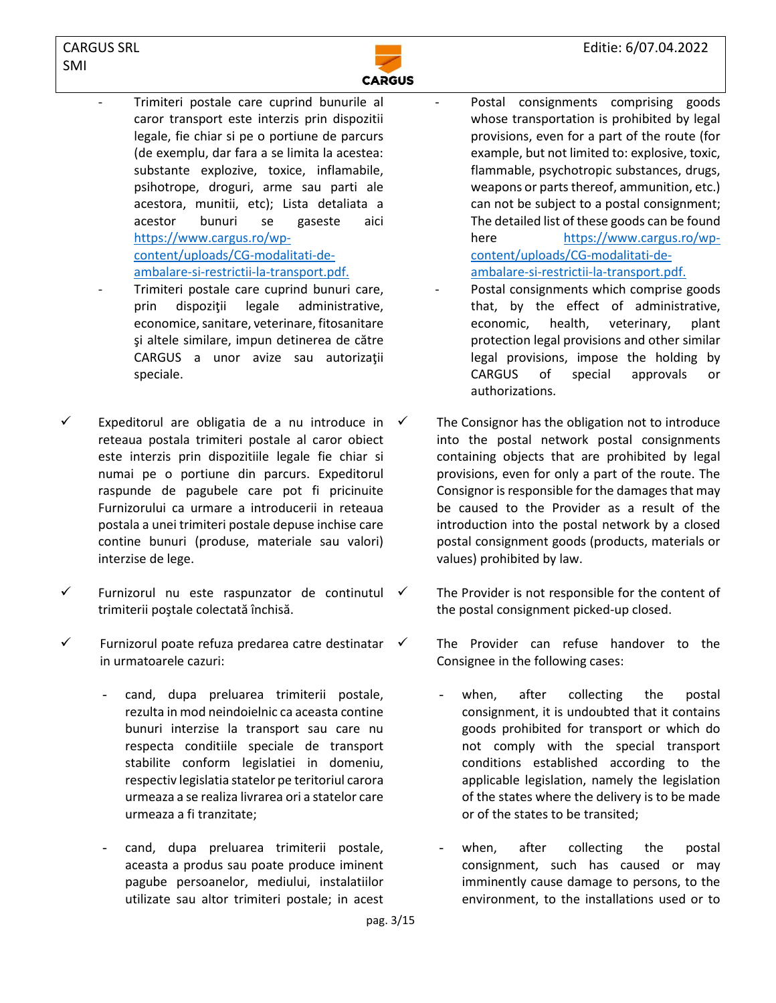

- Trimiteri postale care cuprind bunurile al caror transport este interzis prin dispozitii legale, fie chiar si pe o portiune de parcurs (de exemplu, dar fara a se limita la acestea: substante explozive, toxice, inflamabile, psihotrope, droguri, arme sau parti ale acestora, munitii, etc); Lista detaliata a acestor bunuri se gaseste aici [https://www.cargus.ro/wp](https://www.cargus.ro/wp-content/uploads/CG-modalitati-de-ambalare-si-restrictii-la-transport.pdf)[content/uploads/CG-modalitati-de](https://www.cargus.ro/wp-content/uploads/CG-modalitati-de-ambalare-si-restrictii-la-transport.pdf)[ambalare-si-restrictii-la-transport.pdf.](https://www.cargus.ro/wp-content/uploads/CG-modalitati-de-ambalare-si-restrictii-la-transport.pdf)
- Trimiteri postale care cuprind bunuri care, prin dispoziţii legale administrative, economice, sanitare, veterinare, fitosanitare şi altele similare, impun detinerea de către CARGUS a unor avize sau autorizaţii speciale.
- Expeditorul are obligatia de a nu introduce in  $\checkmark$ reteaua postala trimiteri postale al caror obiect este interzis prin dispozitiile legale fie chiar si numai pe o portiune din parcurs. Expeditorul raspunde de pagubele care pot fi pricinuite Furnizorului ca urmare a introducerii in reteaua postala a unei trimiteri postale depuse inchise care contine bunuri (produse, materiale sau valori) interzise de lege.
- $\checkmark$  Furnizorul nu este raspunzator de continutul  $\checkmark$ trimiterii poştale colectată închisă.
- $\checkmark$  Furnizorul poate refuza predarea catre destinatar in urmatoarele cazuri:
	- cand, dupa preluarea trimiterii postale, rezulta in mod neindoielnic ca aceasta contine bunuri interzise la transport sau care nu respecta conditiile speciale de transport stabilite conform legislatiei in domeniu, respectiv legislatia statelor pe teritoriul carora urmeaza a se realiza livrarea ori a statelor care urmeaza a fi tranzitate;
	- cand, dupa preluarea trimiterii postale, aceasta a produs sau poate produce iminent pagube persoanelor, mediului, instalatiilor utilizate sau altor trimiteri postale; in acest
- Postal consignments comprising goods whose transportation is prohibited by legal provisions, even for a part of the route (for example, but not limited to: explosive, toxic, flammable, psychotropic substances, drugs, weapons or parts thereof, ammunition, etc.) can not be subject to a postal consignment; The detailed list of these goods can be found here [https://www.cargus.ro/wp](https://www.cargus.ro/wp-content/uploads/CG-modalitati-de-ambalare-si-restrictii-la-transport.pdf)[content/uploads/CG-modalitati-de](https://www.cargus.ro/wp-content/uploads/CG-modalitati-de-ambalare-si-restrictii-la-transport.pdf)[ambalare-si-restrictii-la-transport.pdf.](https://www.cargus.ro/wp-content/uploads/CG-modalitati-de-ambalare-si-restrictii-la-transport.pdf)
- Postal consignments which comprise goods that, by the effect of administrative, economic, health, veterinary, plant protection legal provisions and other similar legal provisions, impose the holding by CARGUS of special approvals or authorizations.
- The Consignor has the obligation not to introduce into the postal network postal consignments containing objects that are prohibited by legal provisions, even for only a part of the route. The Consignor is responsible for the damages that may be caused to the Provider as a result of the introduction into the postal network by a closed postal consignment goods (products, materials or values) prohibited by law.
	- The Provider is not responsible for the content of the postal consignment picked-up closed.
- $\checkmark$  The Provider can refuse handover to the Consignee in the following cases:
	- when, after collecting the postal consignment, it is undoubted that it contains goods prohibited for transport or which do not comply with the special transport conditions established according to the applicable legislation, namely the legislation of the states where the delivery is to be made or of the states to be transited;
	- when, after collecting the postal consignment, such has caused or may imminently cause damage to persons, to the environment, to the installations used or to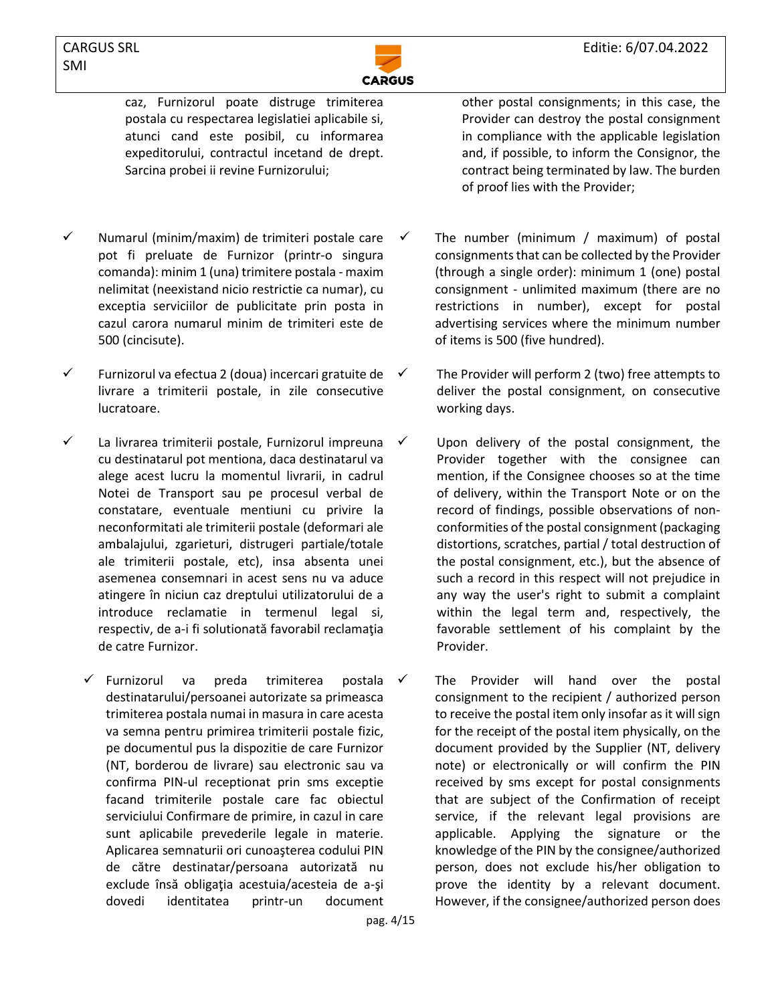

caz, Furnizorul poate distruge trimiterea postala cu respectarea legislatiei aplicabile si, atunci cand este posibil, cu informarea expeditorului, contractul incetand de drept. Sarcina probei ii revine Furnizorului;

- ✓ Numarul (minim/maxim) de trimiteri postale care pot fi preluate de Furnizor (printr-o singura comanda): minim 1 (una) trimitere postala - maxim nelimitat (neexistand nicio restrictie ca numar), cu exceptia serviciilor de publicitate prin posta in cazul carora numarul minim de trimiteri este de 500 (cincisute).
- ✓ Furnizorul va efectua 2 (doua) incercari gratuite de livrare a trimiterii postale, in zile consecutive lucratoare.
- ✓ La livrarea trimiterii postale, Furnizorul impreuna cu destinatarul pot mentiona, daca destinatarul va alege acest lucru la momentul livrarii, in cadrul Notei de Transport sau pe procesul verbal de constatare, eventuale mentiuni cu privire la neconformitati ale trimiterii postale (deformari ale ambalajului, zgarieturi, distrugeri partiale/totale ale trimiterii postale, etc), insa absenta unei asemenea consemnari in acest sens nu va aduce atingere în niciun caz dreptului utilizatorului de a introduce reclamatie in termenul legal si, respectiv, de a-i fi solutionată favorabil reclamaţia de catre Furnizor.
	- ✓ Furnizorul va preda trimiterea postala destinatarului/persoanei autorizate sa primeasca trimiterea postala numai in masura in care acesta va semna pentru primirea trimiterii postale fizic, pe documentul pus la dispozitie de care Furnizor (NT, borderou de livrare) sau electronic sau va confirma PIN-ul receptionat prin sms exceptie facand trimiterile postale care fac obiectul serviciului Confirmare de primire, in cazul in care sunt aplicabile prevederile legale in materie. Aplicarea semnaturii ori cunoaşterea codului PIN de către destinatar/persoana autorizată nu exclude însă obligaţia acestuia/acesteia de a-şi dovedi identitatea printr-un document

other postal consignments; in this case, the Provider can destroy the postal consignment in compliance with the applicable legislation and, if possible, to inform the Consignor, the contract being terminated by law. The burden of proof lies with the Provider;

- The number (minimum / maximum) of postal consignments that can be collected by the Provider (through a single order): minimum 1 (one) postal consignment - unlimited maximum (there are no restrictions in number), except for postal advertising services where the minimum number of items is 500 (five hundred).
- The Provider will perform 2 (two) free attempts to deliver the postal consignment, on consecutive working days.
- Upon delivery of the postal consignment, the Provider together with the consignee can mention, if the Consignee chooses so at the time of delivery, within the Transport Note or on the record of findings, possible observations of nonconformities of the postal consignment (packaging distortions, scratches, partial / total destruction of the postal consignment, etc.), but the absence of such a record in this respect will not prejudice in any way the user's right to submit a complaint within the legal term and, respectively, the favorable settlement of his complaint by the Provider.
- The Provider will hand over the postal consignment to the recipient / authorized person to receive the postal item only insofar as it will sign for the receipt of the postal item physically, on the document provided by the Supplier (NT, delivery note) or electronically or will confirm the PIN received by sms except for postal consignments that are subject of the Confirmation of receipt service, if the relevant legal provisions are applicable. Applying the signature or the knowledge of the PIN by the consignee/authorized person, does not exclude his/her obligation to prove the identity by a relevant document. However, if the consignee/authorized person does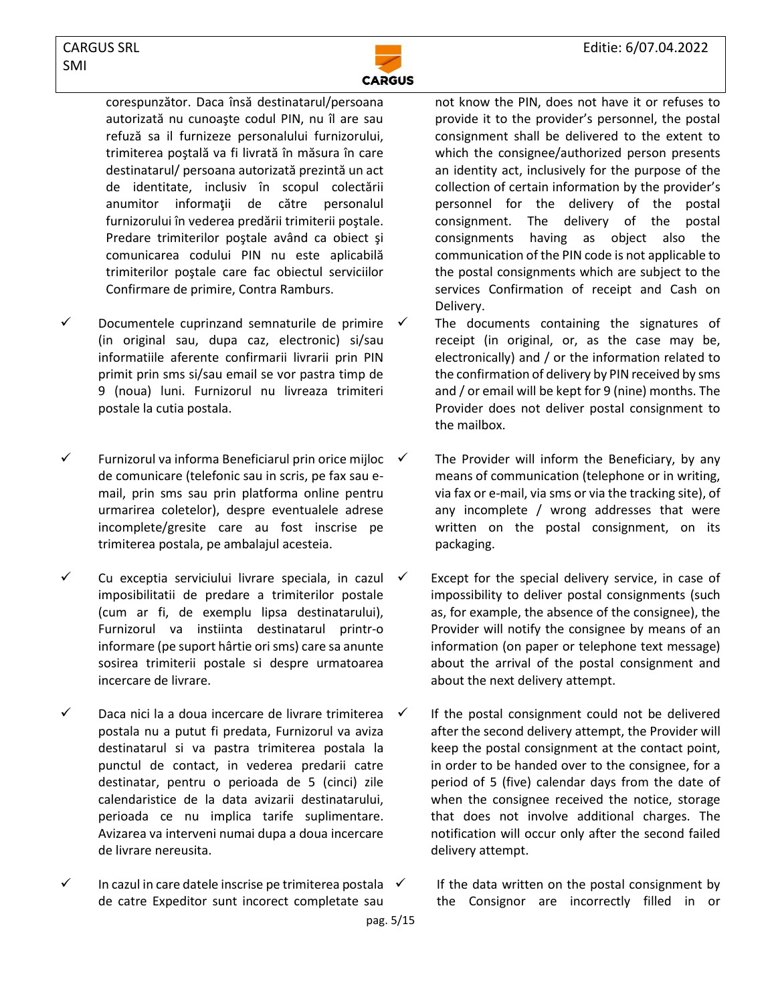

corespunzător. Daca însă destinatarul/persoana autorizată nu cunoaşte codul PIN, nu îl are sau refuză sa il furnizeze personalului furnizorului, trimiterea poştală va fi livrată în măsura în care destinatarul/ persoana autorizată prezintă un act de identitate, inclusiv în scopul colectării anumitor informaţii de către personalul furnizorului în vederea predării trimiterii poştale. Predare trimiterilor poştale având ca obiect şi comunicarea codului PIN nu este aplicabilă trimiterilor poştale care fac obiectul serviciilor Confirmare de primire, Contra Ramburs.

- $\checkmark$  Documentele cuprinzand semnaturile de primire (in original sau, dupa caz, electronic) si/sau informatiile aferente confirmarii livrarii prin PIN primit prin sms si/sau email se vor pastra timp de 9 (noua) luni. Furnizorul nu livreaza trimiteri postale la cutia postala.
- Furnizorul va informa Beneficiarul prin orice mijloc  $\checkmark$ de comunicare (telefonic sau in scris, pe fax sau email, prin sms sau prin platforma online pentru urmarirea coletelor), despre eventualele adrese incomplete/gresite care au fost inscrise pe trimiterea postala, pe ambalajul acesteia.
- $\checkmark$  Cu exceptia serviciului livrare speciala, in cazul  $\checkmark$ imposibilitatii de predare a trimiterilor postale (cum ar fi, de exemplu lipsa destinatarului), Furnizorul va instiinta destinatarul printr-o informare (pe suport hârtie ori sms) care sa anunte sosirea trimiterii postale si despre urmatoarea incercare de livrare.
- ✓ Daca nici la a doua incercare de livrare trimiterea postala nu a putut fi predata, Furnizorul va aviza destinatarul si va pastra trimiterea postala la punctul de contact, in vederea predarii catre destinatar, pentru o perioada de 5 (cinci) zile calendaristice de la data avizarii destinatarului, perioada ce nu implica tarife suplimentare. Avizarea va interveni numai dupa a doua incercare de livrare nereusita.
- $\checkmark$  In cazul in care datele inscrise pe trimiterea postala  $\checkmark$ de catre Expeditor sunt incorect completate sau

not know the PIN, does not have it or refuses to provide it to the provider's personnel, the postal consignment shall be delivered to the extent to which the consignee/authorized person presents an identity act, inclusively for the purpose of the collection of certain information by the provider's personnel for the delivery of the postal consignment. The delivery of the postal consignments having as object also the communication of the PIN code is not applicable to the postal consignments which are subject to the services Confirmation of receipt and Cash on Delivery.

The documents containing the signatures of receipt (in original, or, as the case may be, electronically) and / or the information related to the confirmation of delivery by PIN received by sms and / or email will be kept for 9 (nine) months. The Provider does not deliver postal consignment to the mailbox.

- The Provider will inform the Beneficiary, by any means of communication (telephone or in writing, via fax or e-mail, via sms or via the tracking site), of any incomplete / wrong addresses that were written on the postal consignment, on its packaging.
- Except for the special delivery service, in case of impossibility to deliver postal consignments (such as, for example, the absence of the consignee), the Provider will notify the consignee by means of an information (on paper or telephone text message) about the arrival of the postal consignment and about the next delivery attempt.
- If the postal consignment could not be delivered after the second delivery attempt, the Provider will keep the postal consignment at the contact point, in order to be handed over to the consignee, for a period of 5 (five) calendar days from the date of when the consignee received the notice, storage that does not involve additional charges. The notification will occur only after the second failed delivery attempt.

If the data written on the postal consignment by the Consignor are incorrectly filled in or

pag. 5/15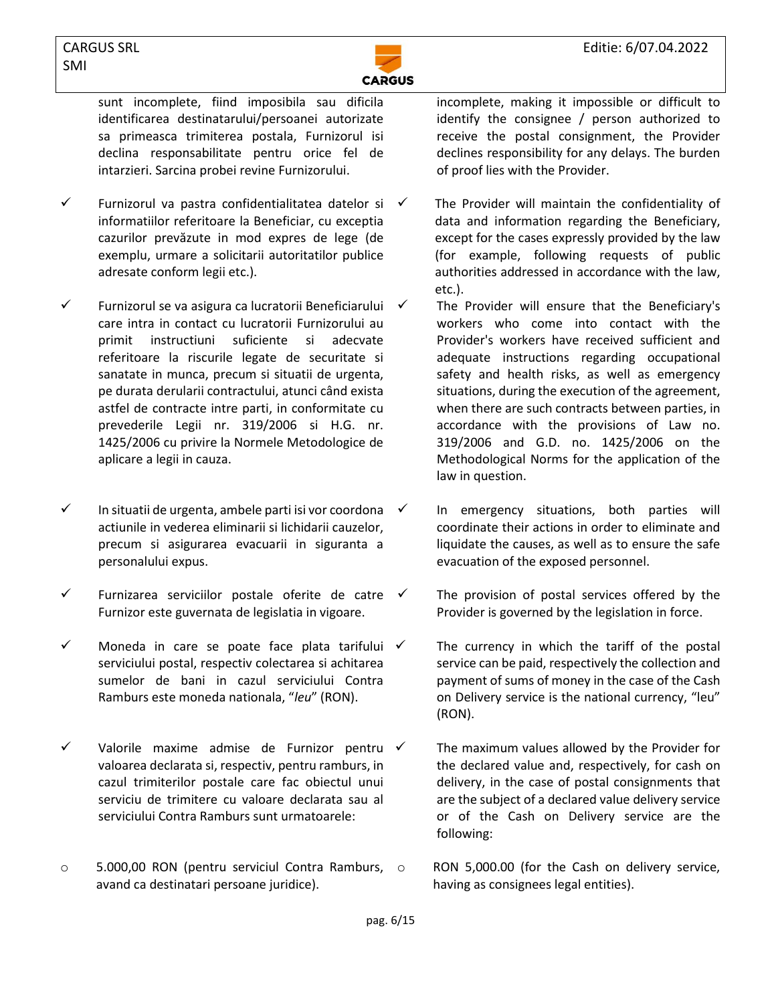

sunt incomplete, fiind imposibila sau dificila identificarea destinatarului/persoanei autorizate sa primeasca trimiterea postala, Furnizorul isi declina responsabilitate pentru orice fel de intarzieri. Sarcina probei revine Furnizorului.

- ✓ Furnizorul va pastra confidentialitatea datelor si informatiilor referitoare la Beneficiar, cu exceptia cazurilor prevăzute in mod expres de lege (de exemplu, urmare a solicitarii autoritatilor publice adresate conform legii etc.).
- ✓ Furnizorul se va asigura ca lucratorii Beneficiarului care intra in contact cu lucratorii Furnizorului au primit instructiuni suficiente si adecvate referitoare la riscurile legate de securitate si sanatate in munca, precum si situatii de urgenta, pe durata derularii contractului, atunci când exista astfel de contracte intre parti, in conformitate cu prevederile Legii nr. 319/2006 si H.G. nr. 1425/2006 cu privire la Normele Metodologice de aplicare a legii in cauza.
- ✓ In situatii de urgenta, ambele parti isi vor coordona actiunile in vederea eliminarii si lichidarii cauzelor, precum si asigurarea evacuarii in siguranta a personalului expus.
- $\checkmark$  Furnizarea serviciilor postale oferite de catre  $\checkmark$ Furnizor este guvernata de legislatia in vigoare.
- $\checkmark$  Moneda in care se poate face plata tarifului  $\checkmark$ serviciului postal, respectiv colectarea si achitarea sumelor de bani in cazul serviciului Contra Ramburs este moneda nationala, "*leu*" (RON).
- ✓ Valorile maxime admise de Furnizor pentru valoarea declarata si, respectiv, pentru ramburs, in cazul trimiterilor postale care fac obiectul unui serviciu de trimitere cu valoare declarata sau al serviciului Contra Ramburs sunt urmatoarele:
- o 5.000,00 RON (pentru serviciul Contra Ramburs, avand ca destinatari persoane juridice).

incomplete, making it impossible or difficult to identify the consignee / person authorized to receive the postal consignment, the Provider declines responsibility for any delays. The burden of proof lies with the Provider.

- The Provider will maintain the confidentiality of data and information regarding the Beneficiary, except for the cases expressly provided by the law (for example, following requests of public authorities addressed in accordance with the law, etc.).
	- The Provider will ensure that the Beneficiary's workers who come into contact with the Provider's workers have received sufficient and adequate instructions regarding occupational safety and health risks, as well as emergency situations, during the execution of the agreement, when there are such contracts between parties, in accordance with the provisions of Law no. 319/2006 and G.D. no. 1425/2006 on the Methodological Norms for the application of the law in question.
- In emergency situations, both parties will coordinate their actions in order to eliminate and liquidate the causes, as well as to ensure the safe evacuation of the exposed personnel.
- The provision of postal services offered by the Provider is governed by the legislation in force.
- The currency in which the tariff of the postal service can be paid, respectively the collection and payment of sums of money in the case of the Cash on Delivery service is the national currency, "leu" (RON).
- The maximum values allowed by the Provider for the declared value and, respectively, for cash on delivery, in the case of postal consignments that are the subject of a declared value delivery service or of the Cash on Delivery service are the following:
- RON 5,000.00 (for the Cash on delivery service, having as consignees legal entities).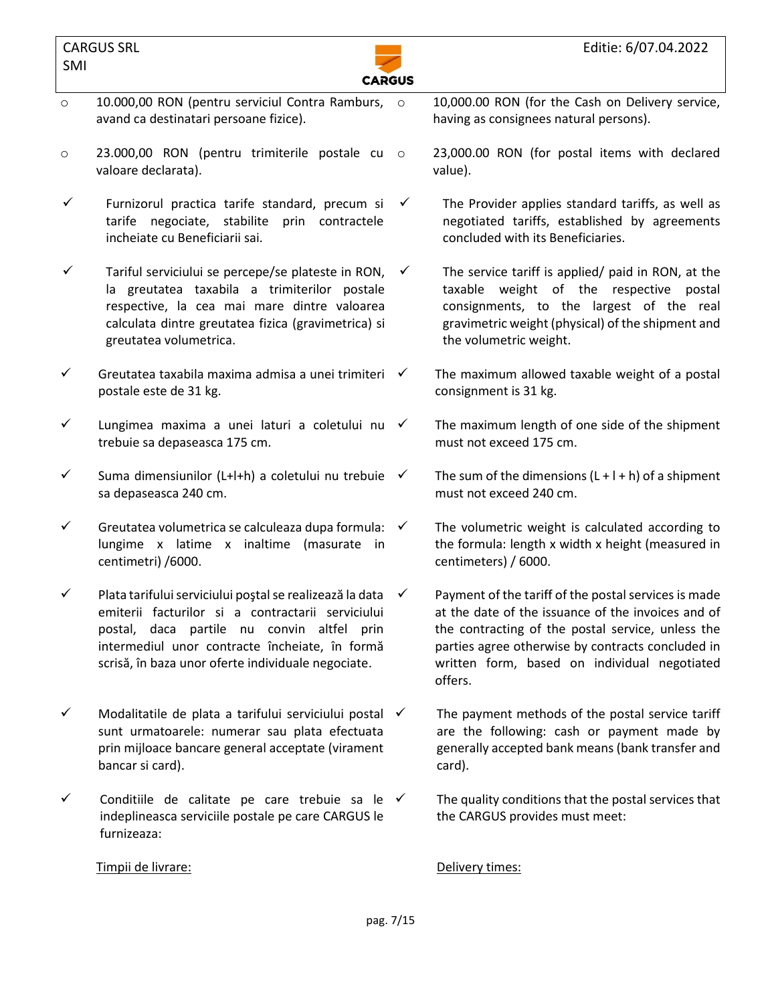

- o 10.000,00 RON (pentru serviciul Contra Ramburs, o avand ca destinatari persoane fizice).
- o 23.000,00 RON (pentru trimiterile postale cu valoare declarata).
- $\checkmark$  Furnizorul practica tarife standard, precum si tarife negociate, stabilite prin contractele incheiate cu Beneficiarii sai.
- $\checkmark$  Tariful serviciului se percepe/se plateste in RON,  $\checkmark$ la greutatea taxabila a trimiterilor postale respective, la cea mai mare dintre valoarea calculata dintre greutatea fizica (gravimetrica) si greutatea volumetrica.
- $\checkmark$  Greutatea taxabila maxima admisa a unei trimiteri  $\checkmark$ postale este de 31 kg.
- ✓ Lungimea maxima a unei laturi a coletului nu trebuie sa depaseasca 175 cm.
- $\checkmark$  Suma dimensiunilor (L+l+h) a coletului nu trebuie  $\checkmark$ sa depaseasca 240 cm.
- $\checkmark$  Greutatea volumetrica se calculeaza dupa formula:  $\checkmark$ lungime x latime x inaltime (masurate in centimetri) /6000.
- $\checkmark$  Plata tarifului serviciului postal se realizează la data $\checkmark$ emiterii facturilor si a contractarii serviciului postal, daca partile nu convin altfel prin intermediul unor contracte încheiate, în formă scrisă, în baza unor oferte individuale negociate.
- $\checkmark$  Modalitatile de plata a tarifului serviciului postal  $\checkmark$ sunt urmatoarele: numerar sau plata efectuata prin mijloace bancare general acceptate (virament bancar si card).
- $\checkmark$  Conditiile de calitate pe care trebuie sa le  $\checkmark$ indeplineasca serviciile postale pe care CARGUS le furnizeaza:

Timpii de livrare: **Delivery times: Delivery times:** 

10,000.00 RON (for the Cash on Delivery service, having as consignees natural persons).

- 23,000.00 RON (for postal items with declared value).
- The Provider applies standard tariffs, as well as negotiated tariffs, established by agreements concluded with its Beneficiaries.
- The service tariff is applied/ paid in RON, at the taxable weight of the respective postal consignments, to the largest of the real gravimetric weight (physical) of the shipment and the volumetric weight.
- The maximum allowed taxable weight of a postal consignment is 31 kg.
	- The maximum length of one side of the shipment must not exceed 175 cm.
	- The sum of the dimensions  $(L + l + h)$  of a shipment must not exceed 240 cm.
	- The volumetric weight is calculated according to the formula: length x width x height (measured in centimeters) / 6000.
- Payment of the tariff of the postal services is made at the date of the issuance of the invoices and of the contracting of the postal service, unless the parties agree otherwise by contracts concluded in written form, based on individual negotiated offers.
- The payment methods of the postal service tariff are the following: cash or payment made by generally accepted bank means (bank transfer and card).
	- The quality conditions that the postal services that the CARGUS provides must meet: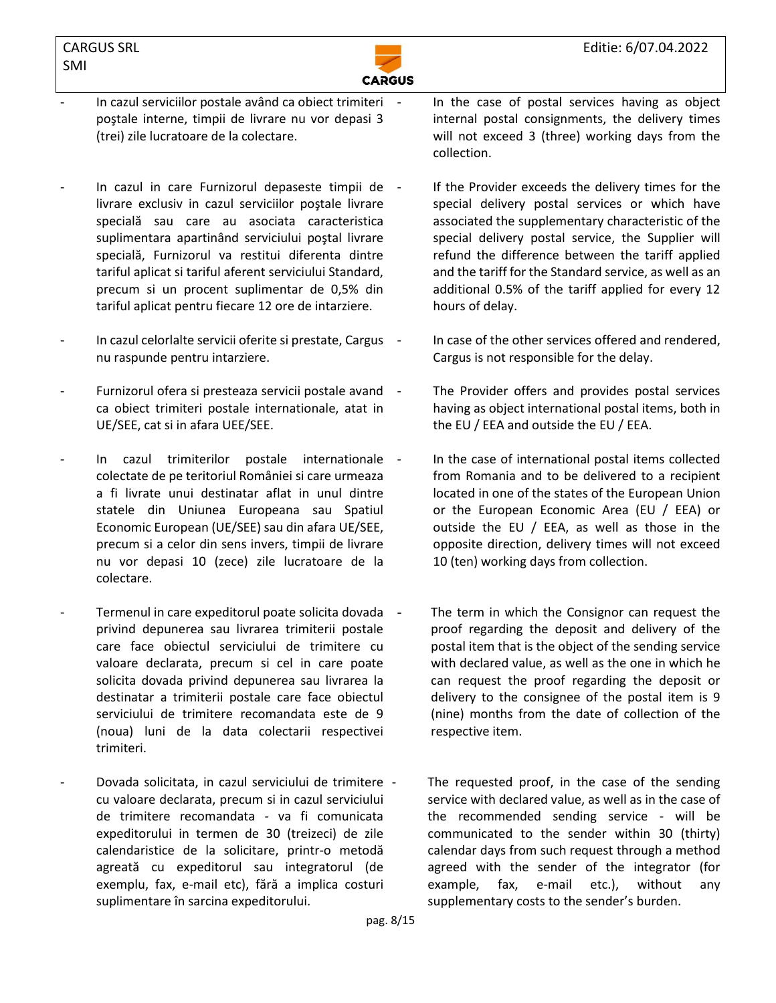

- In cazul serviciilor postale având ca obiect trimiteri poştale interne, timpii de livrare nu vor depasi 3 (trei) zile lucratoare de la colectare.
- In cazul in care Furnizorul depaseste timpii de livrare exclusiv in cazul serviciilor poştale livrare specială sau care au asociata caracteristica suplimentara apartinând serviciului poştal livrare specială, Furnizorul va restitui diferenta dintre tariful aplicat si tariful aferent serviciului Standard, precum si un procent suplimentar de 0,5% din tariful aplicat pentru fiecare 12 ore de intarziere.
- In cazul celorlalte servicii oferite si prestate, Cargus nu raspunde pentru intarziere.
- Furnizorul ofera si presteaza servicii postale avand ca obiect trimiteri postale internationale, atat in UE/SEE, cat si in afara UEE/SEE.
- In cazul trimiterilor postale internationale colectate de pe teritoriul României si care urmeaza a fi livrate unui destinatar aflat in unul dintre statele din Uniunea Europeana sau Spatiul Economic European (UE/SEE) sau din afara UE/SEE, precum si a celor din sens invers, timpii de livrare nu vor depasi 10 (zece) zile lucratoare de la colectare.
- Termenul in care expeditorul poate solicita dovada privind depunerea sau livrarea trimiterii postale care face obiectul serviciului de trimitere cu valoare declarata, precum si cel in care poate solicita dovada privind depunerea sau livrarea la destinatar a trimiterii postale care face obiectul serviciului de trimitere recomandata este de 9 (noua) luni de la data colectarii respectivei trimiteri.
- Dovada solicitata, in cazul serviciului de trimitere cu valoare declarata, precum si in cazul serviciului de trimitere recomandata - va fi comunicata expeditorului in termen de 30 (treizeci) de zile calendaristice de la solicitare, printr-o metodă agreată cu expeditorul sau integratorul (de exemplu, fax, e-mail etc), fără a implica costuri suplimentare în sarcina expeditorului.

In the case of postal services having as object internal postal consignments, the delivery times will not exceed 3 (three) working days from the collection.

- If the Provider exceeds the delivery times for the special delivery postal services or which have associated the supplementary characteristic of the special delivery postal service, the Supplier will refund the difference between the tariff applied and the tariff for the Standard service, as well as an additional 0.5% of the tariff applied for every 12 hours of delay.
	- In case of the other services offered and rendered, Cargus is not responsible for the delay.
- The Provider offers and provides postal services having as object international postal items, both in the EU / EEA and outside the EU / EEA.
- In the case of international postal items collected from Romania and to be delivered to a recipient located in one of the states of the European Union or the European Economic Area (EU / EEA) or outside the EU / EEA, as well as those in the opposite direction, delivery times will not exceed 10 (ten) working days from collection.
- The term in which the Consignor can request the proof regarding the deposit and delivery of the postal item that is the object of the sending service with declared value, as well as the one in which he can request the proof regarding the deposit or delivery to the consignee of the postal item is 9 (nine) months from the date of collection of the respective item.

The requested proof, in the case of the sending service with declared value, as well as in the case of the recommended sending service - will be communicated to the sender within 30 (thirty) calendar days from such request through a method agreed with the sender of the integrator (for example, fax, e-mail etc.), without any supplementary costs to the sender's burden.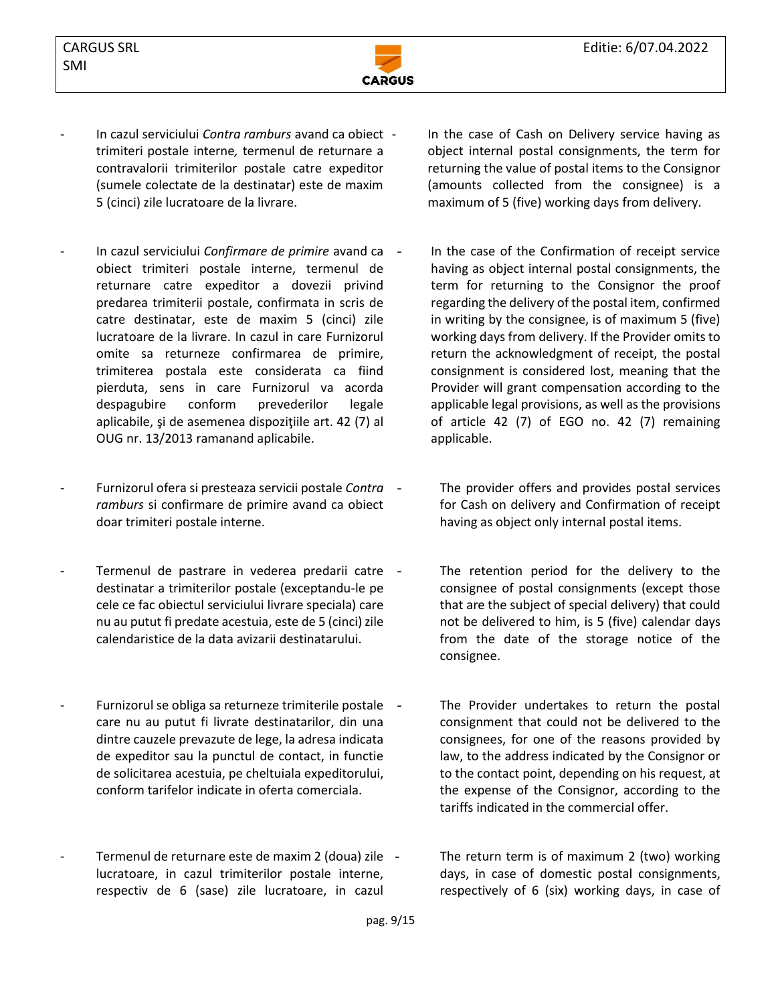

- In cazul serviciului *Contra ramburs* avand ca obiect trimiteri postale interne*,* termenul de returnare a contravalorii trimiterilor postale catre expeditor (sumele colectate de la destinatar) este de maxim 5 (cinci) zile lucratoare de la livrare.
- In cazul serviciului *Confirmare de primire* avand ca obiect trimiteri postale interne, termenul de returnare catre expeditor a dovezii privind predarea trimiterii postale, confirmata in scris de catre destinatar, este de maxim 5 (cinci) zile lucratoare de la livrare. In cazul in care Furnizorul omite sa returneze confirmarea de primire, trimiterea postala este considerata ca fiind pierduta, sens in care Furnizorul va acorda despagubire conform prevederilor legale aplicabile, şi de asemenea dispoziţiile art. 42 (7) al OUG nr. 13/2013 ramanand aplicabile.
- Furnizorul ofera si presteaza servicii postale *Contra ramburs* si confirmare de primire avand ca obiect doar trimiteri postale interne.
- Termenul de pastrare in vederea predarii catre destinatar a trimiterilor postale (exceptandu-le pe cele ce fac obiectul serviciului livrare speciala) care nu au putut fi predate acestuia, este de 5 (cinci) zile calendaristice de la data avizarii destinatarului.
- Furnizorul se obliga sa returneze trimiterile postale care nu au putut fi livrate destinatarilor, din una dintre cauzele prevazute de lege, la adresa indicata de expeditor sau la punctul de contact, in functie de solicitarea acestuia, pe cheltuiala expeditorului, conform tarifelor indicate in oferta comerciala.
- Termenul de returnare este de maxim 2 (doua) zile lucratoare, in cazul trimiterilor postale interne, respectiv de 6 (sase) zile lucratoare, in cazul

In the case of Cash on Delivery service having as object internal postal consignments, the term for returning the value of postal items to the Consignor (amounts collected from the consignee) is a maximum of 5 (five) working days from delivery.

- In the case of the Confirmation of receipt service having as object internal postal consignments, the term for returning to the Consignor the proof regarding the delivery of the postal item, confirmed in writing by the consignee, is of maximum 5 (five) working days from delivery. If the Provider omits to return the acknowledgment of receipt, the postal consignment is considered lost, meaning that the Provider will grant compensation according to the applicable legal provisions, as well as the provisions of article 42 (7) of EGO no. 42 (7) remaining applicable.
	- The provider offers and provides postal services for Cash on delivery and Confirmation of receipt having as object only internal postal items.
	- The retention period for the delivery to the consignee of postal consignments (except those that are the subject of special delivery) that could not be delivered to him, is 5 (five) calendar days from the date of the storage notice of the consignee.
	- The Provider undertakes to return the postal consignment that could not be delivered to the consignees, for one of the reasons provided by law, to the address indicated by the Consignor or to the contact point, depending on his request, at the expense of the Consignor, according to the tariffs indicated in the commercial offer.

The return term is of maximum 2 (two) working days, in case of domestic postal consignments, respectively of 6 (six) working days, in case of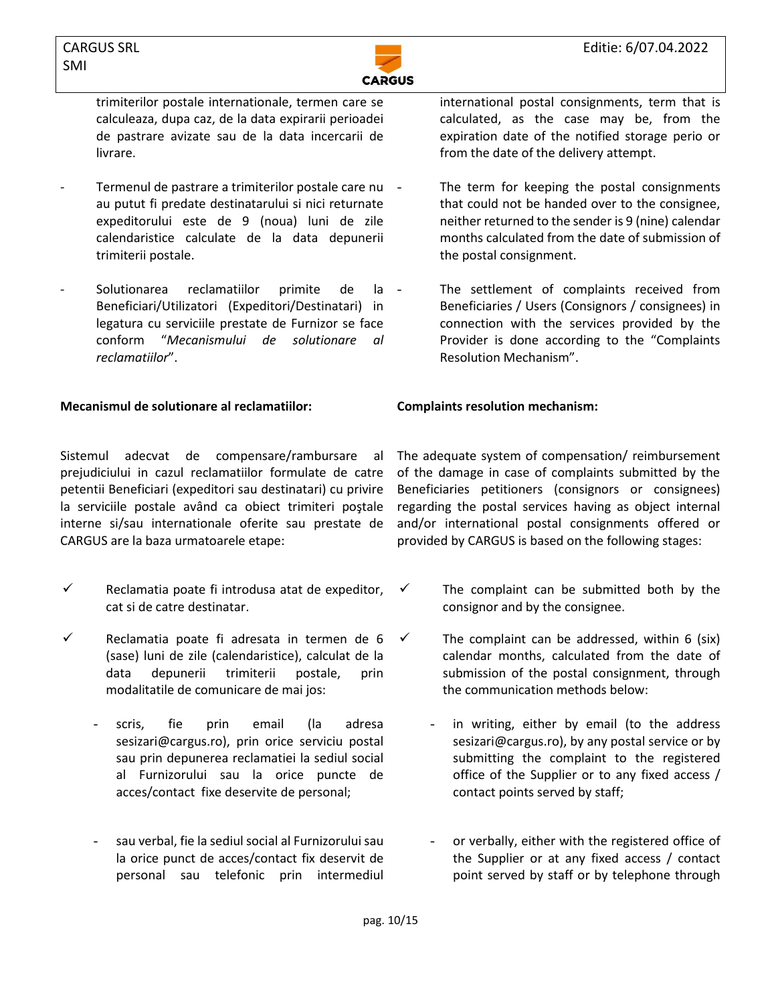

trimiterilor postale internationale, termen care se calculeaza, dupa caz, de la data expirarii perioadei de pastrare avizate sau de la data incercarii de livrare.

- Termenul de pastrare a trimiterilor postale care nu au putut fi predate destinatarului si nici returnate expeditorului este de 9 (noua) luni de zile calendaristice calculate de la data depunerii trimiterii postale.
- Solutionarea reclamatiilor primite de la Beneficiari/Utilizatori (Expeditori/Destinatari) in legatura cu serviciile prestate de Furnizor se face conform "*Mecanismului de solutionare al reclamatiilor*".

## **Mecanismul de solutionare al reclamatiilor: Complaints resolution mechanism:**

Sistemul adecvat de compensare/rambursare al prejudiciului in cazul reclamatiilor formulate de catre petentii Beneficiari (expeditori sau destinatari) cu privire la serviciile postale având ca obiect trimiteri poştale interne si/sau internationale oferite sau prestate de CARGUS are la baza urmatoarele etape:

- $\checkmark$  Reclamatia poate fi introdusa atat de expeditor, cat si de catre destinatar.
- $\checkmark$  Reclamatia poate fi adresata in termen de 6 (sase) luni de zile (calendaristice), calculat de la data depunerii trimiterii postale, prin modalitatile de comunicare de mai jos:
	- scris, fie prin email (la adresa [sesizari@cargus.ro\)](mailto:sesizari@cargus.ro), prin orice serviciu postal sau prin depunerea reclamatiei la sediul social al Furnizorului sau la orice puncte de acces/contact fixe deservite de personal;
	- sau verbal, fie la sediul social al Furnizorului sau la orice punct de acces/contact fix deservit de personal sau telefonic prin intermediul

international postal consignments, term that is calculated, as the case may be, from the expiration date of the notified storage perio or from the date of the delivery attempt.

- The term for keeping the postal consignments that could not be handed over to the consignee, neither returned to the sender is 9 (nine) calendar months calculated from the date of submission of the postal consignment.
- The settlement of complaints received from Beneficiaries / Users (Consignors / consignees) in connection with the services provided by the Provider is done according to the "Complaints Resolution Mechanism".

The adequate system of compensation/ reimbursement of the damage in case of complaints submitted by the Beneficiaries petitioners (consignors or consignees) regarding the postal services having as object internal and/or international postal consignments offered or provided by CARGUS is based on the following stages:

- $\checkmark$  The complaint can be submitted both by the consignor and by the consignee.
- The complaint can be addressed, within  $6$  (six) calendar months, calculated from the date of submission of the postal consignment, through the communication methods below:
	- in writing, either by email (to the address [sesizari@cargus.ro\)](mailto:sesizari@cargus.ro), by any postal service or by submitting the complaint to the registered office of the Supplier or to any fixed access / contact points served by staff;
	- or verbally, either with the registered office of the Supplier or at any fixed access / contact point served by staff or by telephone through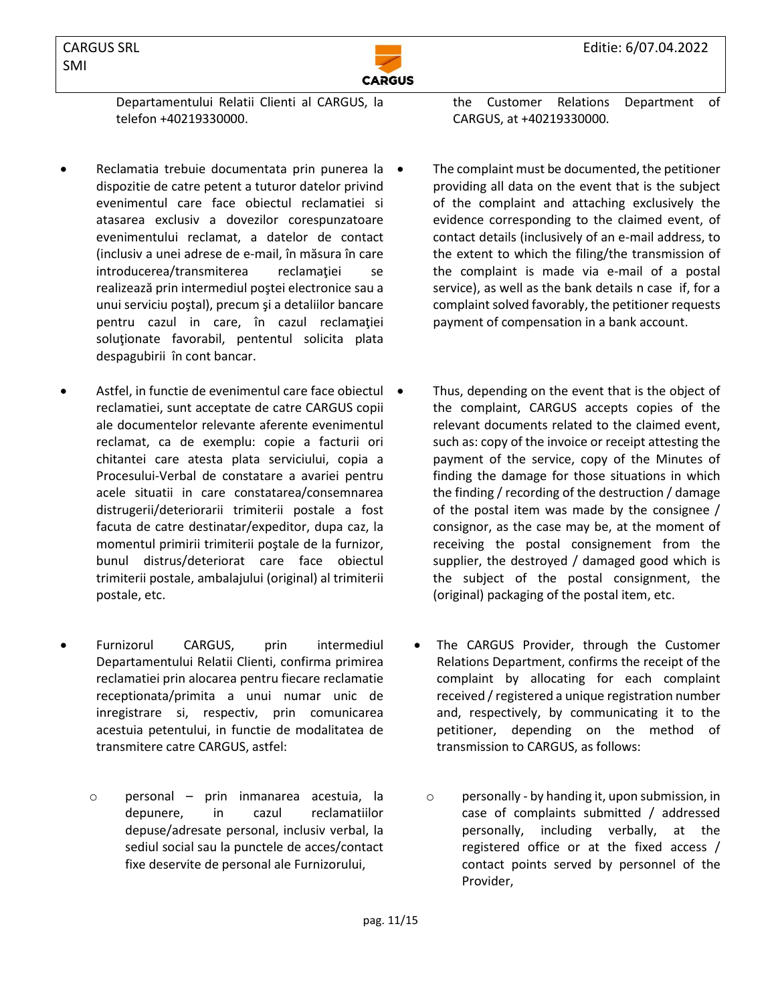

Departamentului Relatii Clienti al CARGUS, la telefon +40219330000.

- Reclamatia trebuie documentata prin punerea la dispozitie de catre petent a tuturor datelor privind evenimentul care face obiectul reclamatiei si atasarea exclusiv a dovezilor corespunzatoare evenimentului reclamat, a datelor de contact (inclusiv a unei adrese de e-mail, în măsura în care introducerea/transmiterea reclamației se realizează prin intermediul poştei electronice sau a unui serviciu poştal), precum şi a detaliilor bancare pentru cazul in care, în cazul reclamaţiei soluţionate favorabil, pententul solicita plata despagubirii în cont bancar.
- Astfel, in functie de evenimentul care face obiectul reclamatiei, sunt acceptate de catre CARGUS copii ale documentelor relevante aferente evenimentul reclamat, ca de exemplu: copie a facturii ori chitantei care atesta plata serviciului, copia a Procesului-Verbal de constatare a avariei pentru acele situatii in care constatarea/consemnarea distrugerii/deteriorarii trimiterii postale a fost facuta de catre destinatar/expeditor, dupa caz, la momentul primirii trimiterii poştale de la furnizor, bunul distrus/deteriorat care face obiectul trimiterii postale, ambalajului (original) al trimiterii postale, etc.
- Furnizorul CARGUS, prin intermediul Departamentului Relatii Clienti, confirma primirea reclamatiei prin alocarea pentru fiecare reclamatie receptionata/primita a unui numar unic de inregistrare si, respectiv, prin comunicarea acestuia petentului, in functie de modalitatea de transmitere catre CARGUS, astfel:
	- o personal prin inmanarea acestuia, la depunere, in cazul reclamatiilor depuse/adresate personal, inclusiv verbal, la sediul social sau la punctele de acces/contact fixe deservite de personal ale Furnizorului,

the Customer Relations Department of CARGUS, at +40219330000.

- The complaint must be documented, the petitioner providing all data on the event that is the subject of the complaint and attaching exclusively the evidence corresponding to the claimed event, of contact details (inclusively of an e-mail address, to the extent to which the filing/the transmission of the complaint is made via e-mail of a postal service), as well as the bank details n case if, for a complaint solved favorably, the petitioner requests payment of compensation in a bank account.
- Thus, depending on the event that is the object of the complaint, CARGUS accepts copies of the relevant documents related to the claimed event, such as: copy of the invoice or receipt attesting the payment of the service, copy of the Minutes of finding the damage for those situations in which the finding / recording of the destruction / damage of the postal item was made by the consignee / consignor, as the case may be, at the moment of receiving the postal consignement from the supplier, the destroyed / damaged good which is the subject of the postal consignment, the (original) packaging of the postal item, etc.
- The CARGUS Provider, through the Customer Relations Department, confirms the receipt of the complaint by allocating for each complaint received / registered a unique registration number and, respectively, by communicating it to the petitioner, depending on the method of transmission to CARGUS, as follows:
	- o personally by handing it, upon submission, in case of complaints submitted / addressed personally, including verbally, at the registered office or at the fixed access / contact points served by personnel of the Provider,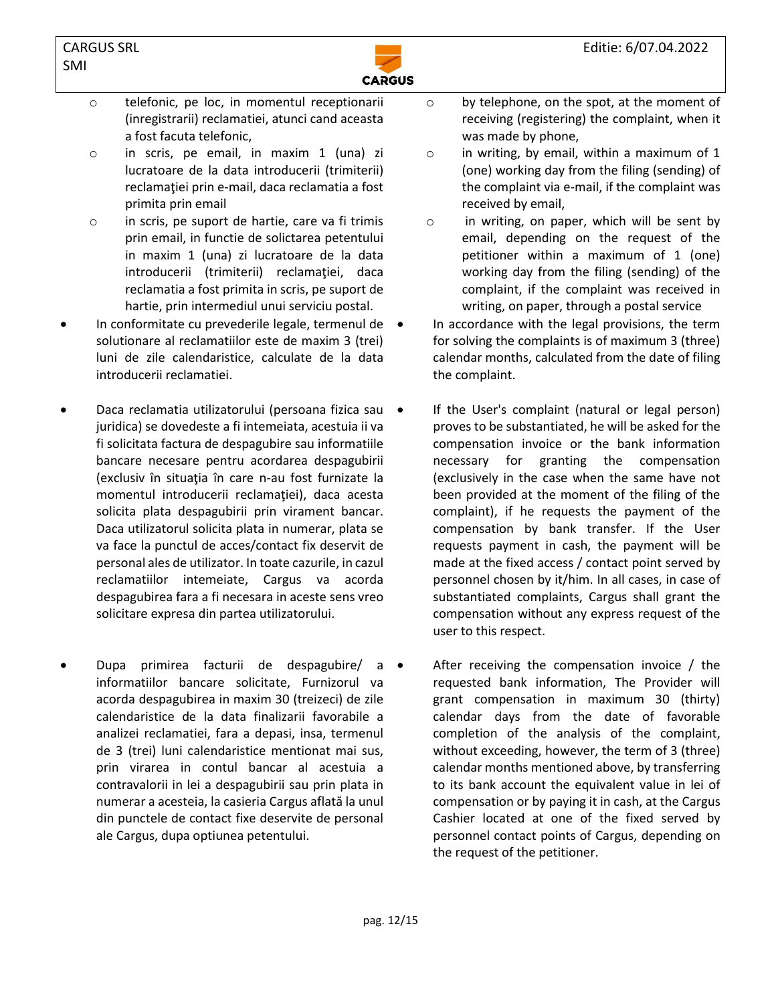

- o telefonic, pe loc, in momentul receptionarii (inregistrarii) reclamatiei, atunci cand aceasta a fost facuta telefonic,
- o in scris, pe email, in maxim 1 (una) zi lucratoare de la data introducerii (trimiterii) reclamaţiei prin e-mail, daca reclamatia a fost primita prin email
- o in scris, pe suport de hartie, care va fi trimis prin email, in functie de solictarea petentului in maxim 1 (una) zi lucratoare de la data introducerii (trimiterii) reclamaţiei, daca reclamatia a fost primita in scris, pe suport de hartie, prin intermediul unui serviciu postal.
- In conformitate cu prevederile legale, termenul de solutionare al reclamatiilor este de maxim 3 (trei) luni de zile calendaristice, calculate de la data introducerii reclamatiei.
- Daca reclamatia utilizatorului (persoana fizica sau juridica) se dovedeste a fi intemeiata, acestuia ii va fi solicitata factura de despagubire sau informatiile bancare necesare pentru acordarea despagubirii (exclusiv în situaţia în care n-au fost furnizate la momentul introducerii reclamaţiei), daca acesta solicita plata despagubirii prin virament bancar. Daca utilizatorul solicita plata in numerar, plata se va face la punctul de acces/contact fix deservit de personal ales de utilizator. In toate cazurile, in cazul reclamatiilor intemeiate, Cargus va acorda despagubirea fara a fi necesara in aceste sens vreo solicitare expresa din partea utilizatorului.
- Dupa primirea facturii de despagubire/ a informatiilor bancare solicitate, Furnizorul va acorda despagubirea in maxim 30 (treizeci) de zile calendaristice de la data finalizarii favorabile a analizei reclamatiei, fara a depasi, insa, termenul de 3 (trei) luni calendaristice mentionat mai sus, prin virarea in contul bancar al acestuia a contravalorii in lei a despagubirii sau prin plata in numerar a acesteia, la casieria Cargus aflată la unul din punctele de contact fixe deservite de personal ale Cargus, dupa optiunea petentului.
- o by telephone, on the spot, at the moment of receiving (registering) the complaint, when it was made by phone,
- o in writing, by email, within a maximum of 1 (one) working day from the filing (sending) of the complaint via e-mail, if the complaint was received by email,
- o in writing, on paper, which will be sent by email, depending on the request of the petitioner within a maximum of 1 (one) working day from the filing (sending) of the complaint, if the complaint was received in writing, on paper, through a postal service
- In accordance with the legal provisions, the term for solving the complaints is of maximum 3 (three) calendar months, calculated from the date of filing the complaint.
- If the User's complaint (natural or legal person) proves to be substantiated, he will be asked for the compensation invoice or the bank information necessary for granting the compensation (exclusively in the case when the same have not been provided at the moment of the filing of the complaint), if he requests the payment of the compensation by bank transfer. If the User requests payment in cash, the payment will be made at the fixed access / contact point served by personnel chosen by it/him. In all cases, in case of substantiated complaints, Cargus shall grant the compensation without any express request of the user to this respect.
- After receiving the compensation invoice / the requested bank information, The Provider will grant compensation in maximum 30 (thirty) calendar days from the date of favorable completion of the analysis of the complaint, without exceeding, however, the term of 3 (three) calendar months mentioned above, by transferring to its bank account the equivalent value in lei of compensation or by paying it in cash, at the Cargus Cashier located at one of the fixed served by personnel contact points of Cargus, depending on the request of the petitioner.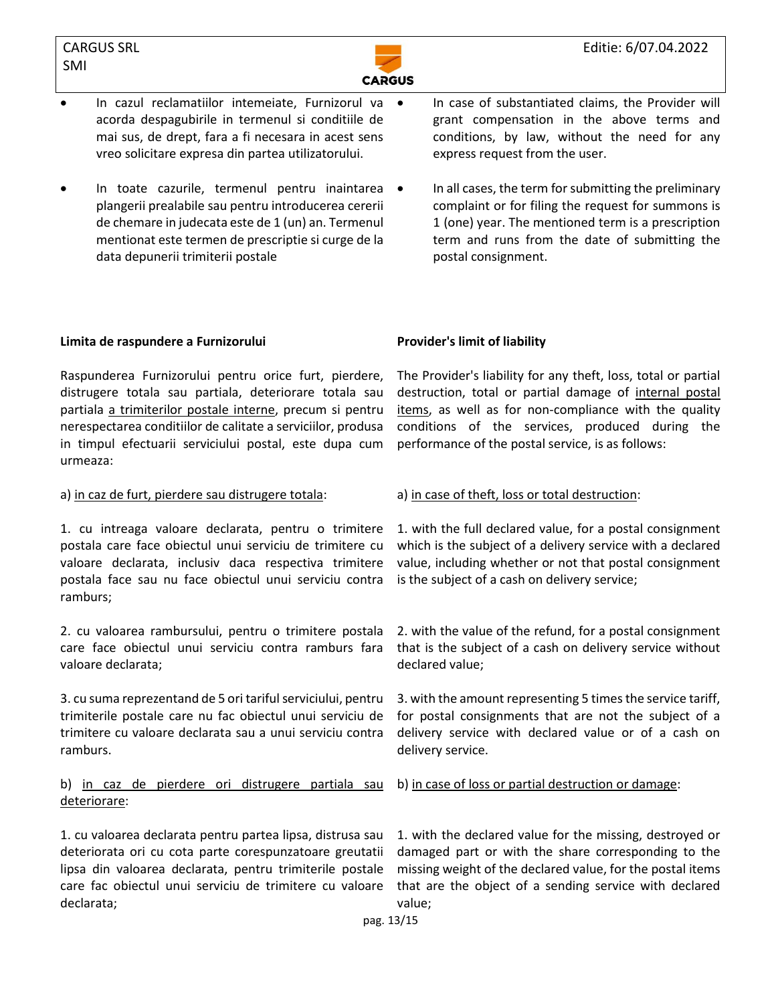

- In cazul reclamatiilor intemeiate, Furnizorul va acorda despagubirile in termenul si conditiile de mai sus, de drept, fara a fi necesara in acest sens vreo solicitare expresa din partea utilizatorului.
- In toate cazurile, termenul pentru inaintarea plangerii prealabile sau pentru introducerea cererii de chemare in judecata este de 1 (un) an. Termenul mentionat este termen de prescriptie si curge de la data depunerii trimiterii postale
- In case of substantiated claims, the Provider will grant compensation in the above terms and conditions, by law, without the need for any express request from the user.
- In all cases, the term for submitting the preliminary complaint or for filing the request for summons is 1 (one) year. The mentioned term is a prescription term and runs from the date of submitting the postal consignment.

# **Limita de raspundere a Furnizorului Provider's limit of liability**

Raspunderea Furnizorului pentru orice furt, pierdere, distrugere totala sau partiala, deteriorare totala sau partiala a trimiterilor postale interne, precum si pentru nerespectarea conditiilor de calitate a serviciilor, produsa in timpul efectuarii serviciului postal, este dupa cum urmeaza:

### a) in caz de furt, pierdere sau distrugere totala: a) in case of theft, loss or total destruction:

1. cu intreaga valoare declarata, pentru o trimitere postala care face obiectul unui serviciu de trimitere cu valoare declarata, inclusiv daca respectiva trimitere postala face sau nu face obiectul unui serviciu contra ramburs;

2. cu valoarea rambursului, pentru o trimitere postala care face obiectul unui serviciu contra ramburs fara valoare declarata;

3. cu suma reprezentand de 5 ori tariful serviciului, pentru trimiterile postale care nu fac obiectul unui serviciu de trimitere cu valoare declarata sau a unui serviciu contra ramburs.

b) in caz de pierdere ori distrugere partiala sau deteriorare:

1. cu valoarea declarata pentru partea lipsa, distrusa sau deteriorata ori cu cota parte corespunzatoare greutatii lipsa din valoarea declarata, pentru trimiterile postale care fac obiectul unui serviciu de trimitere cu valoare declarata;

The Provider's liability for any theft, loss, total or partial destruction, total or partial damage of internal postal items, as well as for non-compliance with the quality conditions of the services, produced during the performance of the postal service, is as follows:

1. with the full declared value, for a postal consignment which is the subject of a delivery service with a declared value, including whether or not that postal consignment is the subject of a cash on delivery service;

2. with the value of the refund, for a postal consignment that is the subject of a cash on delivery service without declared value;

3. with the amount representing 5 times the service tariff, for postal consignments that are not the subject of a delivery service with declared value or of a cash on delivery service.

b) in case of loss or partial destruction or damage:

1. with the declared value for the missing, destroyed or damaged part or with the share corresponding to the missing weight of the declared value, for the postal items that are the object of a sending service with declared value;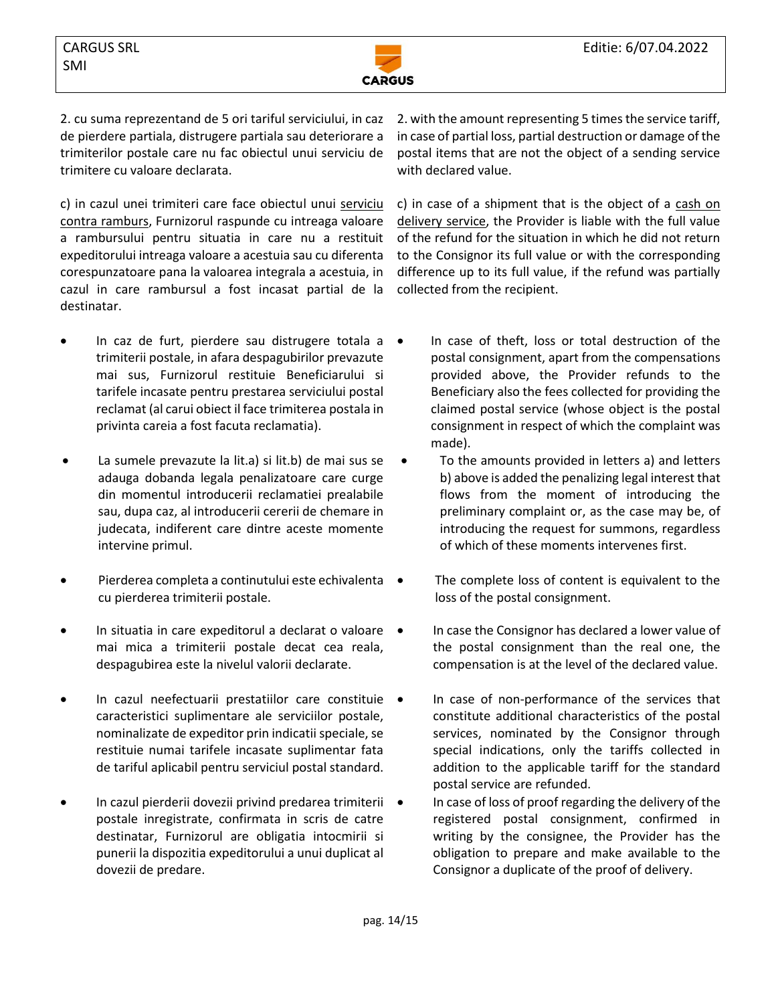



2. cu suma reprezentand de 5 ori tariful serviciului, in caz de pierdere partiala, distrugere partiala sau deteriorare a trimiterilor postale care nu fac obiectul unui serviciu de trimitere cu valoare declarata.

c) in cazul unei trimiteri care face obiectul unui serviciu contra ramburs, Furnizorul raspunde cu intreaga valoare a rambursului pentru situatia in care nu a restituit expeditorului intreaga valoare a acestuia sau cu diferenta corespunzatoare pana la valoarea integrala a acestuia, in cazul in care rambursul a fost incasat partial de la destinatar.

• In caz de furt, pierdere sau distrugere totala a trimiterii postale, in afara despagubirilor prevazute mai sus, Furnizorul restituie Beneficiarului si tarifele incasate pentru prestarea serviciului postal reclamat (al carui obiect il face trimiterea postala in privinta careia a fost facuta reclamatia).

• La sumele prevazute la lit.a) si lit.b) de mai sus se adauga dobanda legala penalizatoare care curge din momentul introducerii reclamatiei prealabile sau, dupa caz, al introducerii cererii de chemare in judecata, indiferent care dintre aceste momente intervine primul.

- Pierderea completa a continutului este echivalenta cu pierderea trimiterii postale.
- In situatia in care expeditorul a declarat o valoare mai mica a trimiterii postale decat cea reala, despagubirea este la nivelul valorii declarate.
- In cazul neefectuarii prestatiilor care constituie caracteristici suplimentare ale serviciilor postale, nominalizate de expeditor prin indicatii speciale, se restituie numai tarifele incasate suplimentar fata de tariful aplicabil pentru serviciul postal standard.
- In cazul pierderii dovezii privind predarea trimiterii postale inregistrate, confirmata in scris de catre destinatar, Furnizorul are obligatia intocmirii si punerii la dispozitia expeditorului a unui duplicat al dovezii de predare.

2. with the amount representing 5 times the service tariff, in case of partial loss, partial destruction or damage of the postal items that are not the object of a sending service with declared value.

c) in case of a shipment that is the object of a cash on delivery service, the Provider is liable with the full value of the refund for the situation in which he did not return to the Consignor its full value or with the corresponding difference up to its full value, if the refund was partially collected from the recipient.

- In case of theft, loss or total destruction of the postal consignment, apart from the compensations provided above, the Provider refunds to the Beneficiary also the fees collected for providing the claimed postal service (whose object is the postal consignment in respect of which the complaint was made).
- To the amounts provided in letters a) and letters b) above is added the penalizing legal interest that flows from the moment of introducing the preliminary complaint or, as the case may be, of introducing the request for summons, regardless of which of these moments intervenes first.
- The complete loss of content is equivalent to the loss of the postal consignment.
- In case the Consignor has declared a lower value of the postal consignment than the real one, the compensation is at the level of the declared value.
- In case of non-performance of the services that constitute additional characteristics of the postal services, nominated by the Consignor through special indications, only the tariffs collected in addition to the applicable tariff for the standard postal service are refunded.
- In case of loss of proof regarding the delivery of the registered postal consignment, confirmed in writing by the consignee, the Provider has the obligation to prepare and make available to the Consignor a duplicate of the proof of delivery.